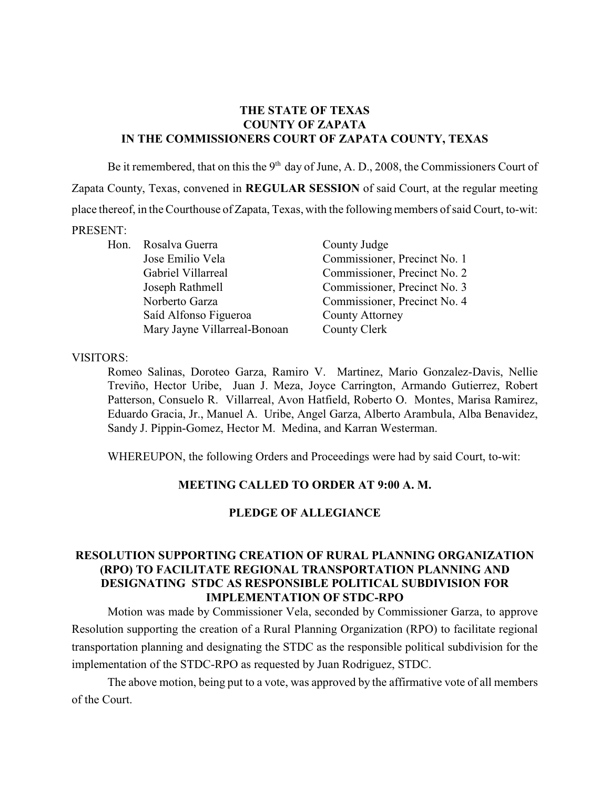#### **THE STATE OF TEXAS COUNTY OF ZAPATA IN THE COMMISSIONERS COURT OF ZAPATA COUNTY, TEXAS**

Be it remembered, that on this the  $9<sup>th</sup>$  day of June, A. D., 2008, the Commissioners Court of Zapata County, Texas, convened in **REGULAR SESSION** of said Court, at the regular meeting place thereof, in theCourthouse of Zapata, Texas, with the following members of said Court, to-wit: PRESENT:

Hon. Rosalva Guerra County Judge Saíd Alfonso Figueroa County Attorney Mary Jayne Villarreal-Bonoan County Clerk

Jose Emilio Vela Commissioner, Precinct No. 1 Gabriel Villarreal Commissioner, Precinct No. 2 Joseph Rathmell Commissioner, Precinct No. 3 Norberto Garza Commissioner, Precinct No. 4

#### VISITORS:

Romeo Salinas, Doroteo Garza, Ramiro V. Martinez, Mario Gonzalez-Davis, Nellie Treviño, Hector Uribe, Juan J. Meza, Joyce Carrington, Armando Gutierrez, Robert Patterson, Consuelo R. Villarreal, Avon Hatfield, Roberto O. Montes, Marisa Ramirez, Eduardo Gracia, Jr., Manuel A. Uribe, Angel Garza, Alberto Arambula, Alba Benavidez, Sandy J. Pippin-Gomez, Hector M. Medina, and Karran Westerman.

WHEREUPON, the following Orders and Proceedings were had by said Court, to-wit:

#### **MEETING CALLED TO ORDER AT 9:00 A. M.**

#### **PLEDGE OF ALLEGIANCE**

## **RESOLUTION SUPPORTING CREATION OF RURAL PLANNING ORGANIZATION (RPO) TO FACILITATE REGIONAL TRANSPORTATION PLANNING AND DESIGNATING STDC AS RESPONSIBLE POLITICAL SUBDIVISION FOR IMPLEMENTATION OF STDC-RPO**

Motion was made by Commissioner Vela, seconded by Commissioner Garza, to approve Resolution supporting the creation of a Rural Planning Organization (RPO) to facilitate regional transportation planning and designating the STDC as the responsible political subdivision for the implementation of the STDC-RPO as requested by Juan Rodriguez, STDC.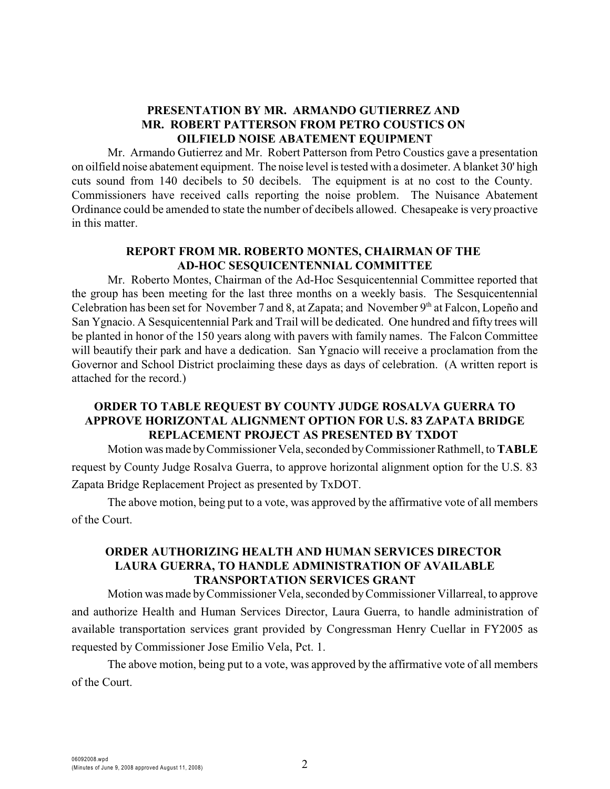# **PRESENTATION BY MR. ARMANDO GUTIERREZ AND MR. ROBERT PATTERSON FROM PETRO COUSTICS ON OILFIELD NOISE ABATEMENT EQUIPMENT**

Mr. Armando Gutierrez and Mr. Robert Patterson from Petro Coustics gave a presentation on oilfield noise abatement equipment. The noise level istested with a dosimeter. A blanket 30' high cuts sound from 140 decibels to 50 decibels. The equipment is at no cost to the County. Commissioners have received calls reporting the noise problem. The Nuisance Abatement Ordinance could be amended to state the number of decibels allowed. Chesapeake is very proactive in this matter.

# **REPORT FROM MR. ROBERTO MONTES, CHAIRMAN OF THE AD-HOC SESQUICENTENNIAL COMMITTEE**

Mr. Roberto Montes, Chairman of the Ad-Hoc Sesquicentennial Committee reported that the group has been meeting for the last three months on a weekly basis. The Sesquicentennial Celebration has been set for November 7 and 8, at Zapata; and November  $9<sup>th</sup>$  at Falcon, Lopeño and San Ygnacio. A Sesquicentennial Park and Trail will be dedicated. One hundred and fifty trees will be planted in honor of the 150 years along with pavers with family names. The Falcon Committee will beautify their park and have a dedication. San Ygnacio will receive a proclamation from the Governor and School District proclaiming these days as days of celebration. (A written report is attached for the record.)

## **ORDER TO TABLE REQUEST BY COUNTY JUDGE ROSALVA GUERRA TO APPROVE HORIZONTAL ALIGNMENT OPTION FOR U.S. 83 ZAPATA BRIDGE REPLACEMENT PROJECT AS PRESENTED BY TXDOT**

Motion was made by Commissioner Vela, seconded by Commissioner Rathmell, to **TABLE** request by County Judge Rosalva Guerra, to approve horizontal alignment option for the U.S. 83 Zapata Bridge Replacement Project as presented by TxDOT.

The above motion, being put to a vote, was approved by the affirmative vote of all members of the Court.

#### **ORDER AUTHORIZING HEALTH AND HUMAN SERVICES DIRECTOR LAURA GUERRA, TO HANDLE ADMINISTRATION OF AVAILABLE TRANSPORTATION SERVICES GRANT**

Motion was made byCommissioner Vela, seconded by Commissioner Villarreal, to approve and authorize Health and Human Services Director, Laura Guerra, to handle administration of available transportation services grant provided by Congressman Henry Cuellar in FY2005 as requested by Commissioner Jose Emilio Vela, Pct. 1.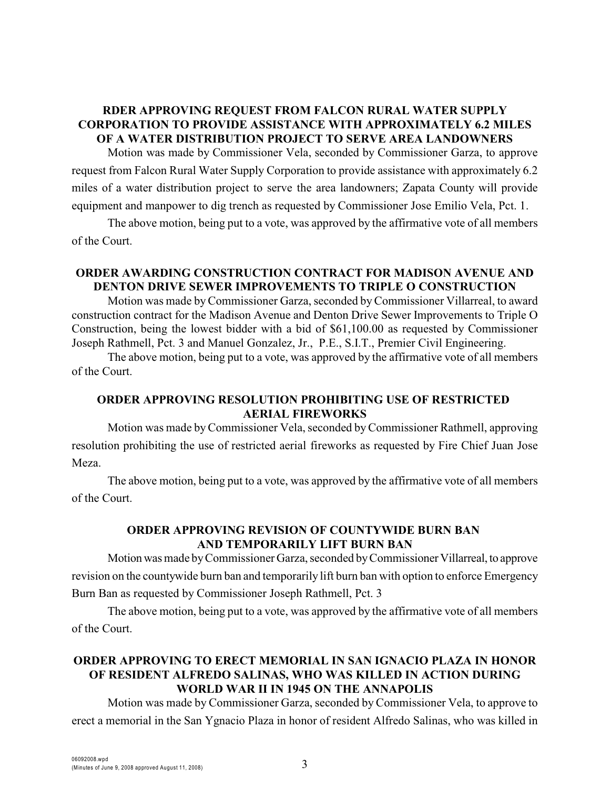# **RDER APPROVING REQUEST FROM FALCON RURAL WATER SUPPLY CORPORATION TO PROVIDE ASSISTANCE WITH APPROXIMATELY 6.2 MILES OF A WATER DISTRIBUTION PROJECT TO SERVE AREA LANDOWNERS**

Motion was made by Commissioner Vela, seconded by Commissioner Garza, to approve request from Falcon Rural Water Supply Corporation to provide assistance with approximately 6.2 miles of a water distribution project to serve the area landowners; Zapata County will provide equipment and manpower to dig trench as requested by Commissioner Jose Emilio Vela, Pct. 1.

The above motion, being put to a vote, was approved by the affirmative vote of all members of the Court.

#### **ORDER AWARDING CONSTRUCTION CONTRACT FOR MADISON AVENUE AND DENTON DRIVE SEWER IMPROVEMENTS TO TRIPLE O CONSTRUCTION**

Motion was made by Commissioner Garza, seconded by Commissioner Villarreal, to award construction contract for the Madison Avenue and Denton Drive Sewer Improvements to Triple O Construction, being the lowest bidder with a bid of \$61,100.00 as requested by Commissioner Joseph Rathmell, Pct. 3 and Manuel Gonzalez, Jr., P.E., S.I.T., Premier Civil Engineering.

The above motion, being put to a vote, was approved by the affirmative vote of all members of the Court.

### **ORDER APPROVING RESOLUTION PROHIBITING USE OF RESTRICTED AERIAL FIREWORKS**

Motion was made byCommissioner Vela, seconded byCommissioner Rathmell, approving resolution prohibiting the use of restricted aerial fireworks as requested by Fire Chief Juan Jose Meza.

The above motion, being put to a vote, was approved by the affirmative vote of all members of the Court.

## **ORDER APPROVING REVISION OF COUNTYWIDE BURN BAN AND TEMPORARILY LIFT BURN BAN**

Motion was made by Commissioner Garza, seconded by Commissioner Villarreal, to approve revision on the countywide burn ban and temporarily lift burn ban with option to enforce Emergency Burn Ban as requested by Commissioner Joseph Rathmell, Pct. 3

The above motion, being put to a vote, was approved by the affirmative vote of all members of the Court.

# **ORDER APPROVING TO ERECT MEMORIAL IN SAN IGNACIO PLAZA IN HONOR OF RESIDENT ALFREDO SALINAS, WHO WAS KILLED IN ACTION DURING WORLD WAR II IN 1945 ON THE ANNAPOLIS**

Motion was made by Commissioner Garza, seconded by Commissioner Vela, to approve to erect a memorial in the San Ygnacio Plaza in honor of resident Alfredo Salinas, who was killed in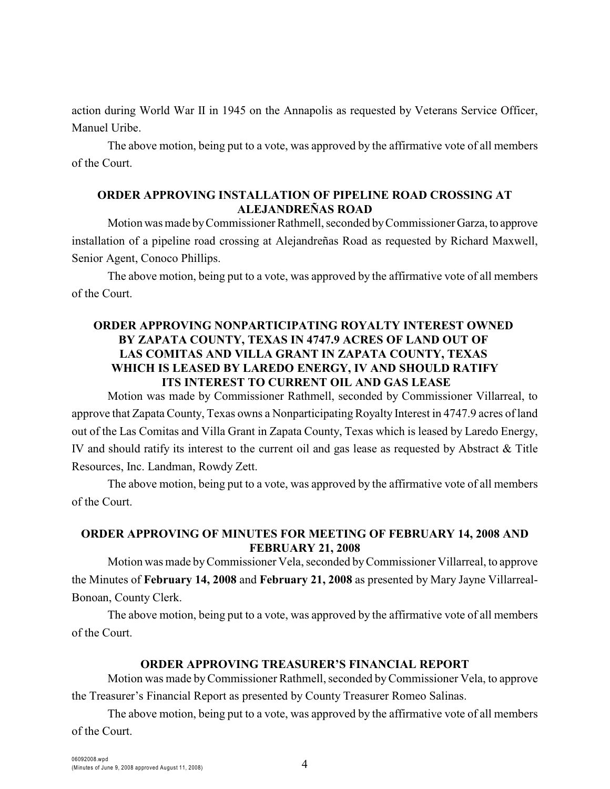action during World War II in 1945 on the Annapolis as requested by Veterans Service Officer, Manuel Uribe.

The above motion, being put to a vote, was approved by the affirmative vote of all members of the Court.

#### **ORDER APPROVING INSTALLATION OF PIPELINE ROAD CROSSING AT ALEJANDREÑAS ROAD**

Motion was made by Commissioner Rathmell, seconded by Commissioner Garza, to approve installation of a pipeline road crossing at Alejandreñas Road as requested by Richard Maxwell, Senior Agent, Conoco Phillips.

The above motion, being put to a vote, was approved by the affirmative vote of all members of the Court.

# **ORDER APPROVING NONPARTICIPATING ROYALTY INTEREST OWNED BY ZAPATA COUNTY, TEXAS IN 4747.9 ACRES OF LAND OUT OF LAS COMITAS AND VILLA GRANT IN ZAPATA COUNTY, TEXAS WHICH IS LEASED BY LAREDO ENERGY, IV AND SHOULD RATIFY ITS INTEREST TO CURRENT OIL AND GAS LEASE**

Motion was made by Commissioner Rathmell, seconded by Commissioner Villarreal, to approve that Zapata County, Texas owns a Nonparticipating Royalty Interest in 4747.9 acres of land out of the Las Comitas and Villa Grant in Zapata County, Texas which is leased by Laredo Energy, IV and should ratify its interest to the current oil and gas lease as requested by Abstract & Title Resources, Inc. Landman, Rowdy Zett.

The above motion, being put to a vote, was approved by the affirmative vote of all members of the Court.

# **ORDER APPROVING OF MINUTES FOR MEETING OF FEBRUARY 14, 2008 AND FEBRUARY 21, 2008**

Motion was made byCommissioner Vela, seconded byCommissioner Villarreal, to approve the Minutes of **February 14, 2008** and **February 21, 2008** as presented by Mary Jayne Villarreal-Bonoan, County Clerk.

The above motion, being put to a vote, was approved by the affirmative vote of all members of the Court.

## **ORDER APPROVING TREASURER'S FINANCIAL REPORT**

Motion was made by Commissioner Rathmell, seconded by Commissioner Vela, to approve the Treasurer's Financial Report as presented by County Treasurer Romeo Salinas.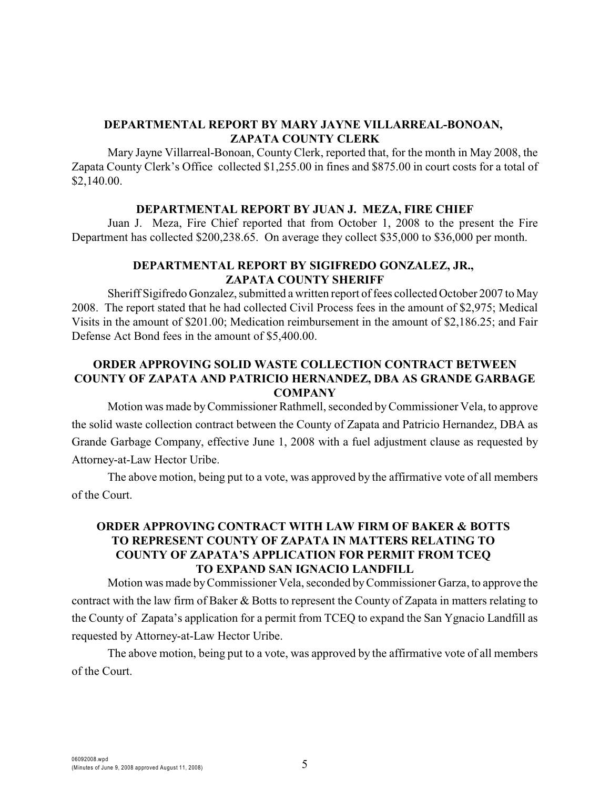# **DEPARTMENTAL REPORT BY MARY JAYNE VILLARREAL-BONOAN, ZAPATA COUNTY CLERK**

Mary Jayne Villarreal-Bonoan, County Clerk, reported that, for the month in May 2008, the Zapata County Clerk's Office collected \$1,255.00 in fines and \$875.00 in court costs for a total of \$2,140.00.

#### **DEPARTMENTAL REPORT BY JUAN J. MEZA, FIRE CHIEF**

Juan J. Meza, Fire Chief reported that from October 1, 2008 to the present the Fire Department has collected \$200,238.65. On average they collect \$35,000 to \$36,000 per month.

#### **DEPARTMENTAL REPORT BY SIGIFREDO GONZALEZ, JR., ZAPATA COUNTY SHERIFF**

Sheriff Sigifredo Gonzalez, submitted a written report of fees collected October 2007 to May 2008. The report stated that he had collected Civil Process fees in the amount of \$2,975; Medical Visits in the amount of \$201.00; Medication reimbursement in the amount of \$2,186.25; and Fair Defense Act Bond fees in the amount of \$5,400.00.

## **ORDER APPROVING SOLID WASTE COLLECTION CONTRACT BETWEEN COUNTY OF ZAPATA AND PATRICIO HERNANDEZ, DBA AS GRANDE GARBAGE COMPANY**

Motion was made by Commissioner Rathmell, seconded by Commissioner Vela, to approve the solid waste collection contract between the County of Zapata and Patricio Hernandez, DBA as Grande Garbage Company, effective June 1, 2008 with a fuel adjustment clause as requested by Attorney-at-Law Hector Uribe.

The above motion, being put to a vote, was approved by the affirmative vote of all members of the Court.

## **ORDER APPROVING CONTRACT WITH LAW FIRM OF BAKER & BOTTS TO REPRESENT COUNTY OF ZAPATA IN MATTERS RELATING TO COUNTY OF ZAPATA'S APPLICATION FOR PERMIT FROM TCEQ TO EXPAND SAN IGNACIO LANDFILL**

Motion was made by Commissioner Vela, seconded by Commissioner Garza, to approve the contract with the law firm of Baker & Botts to represent the County of Zapata in matters relating to the County of Zapata's application for a permit from TCEQ to expand the San Ygnacio Landfill as requested by Attorney-at-Law Hector Uribe.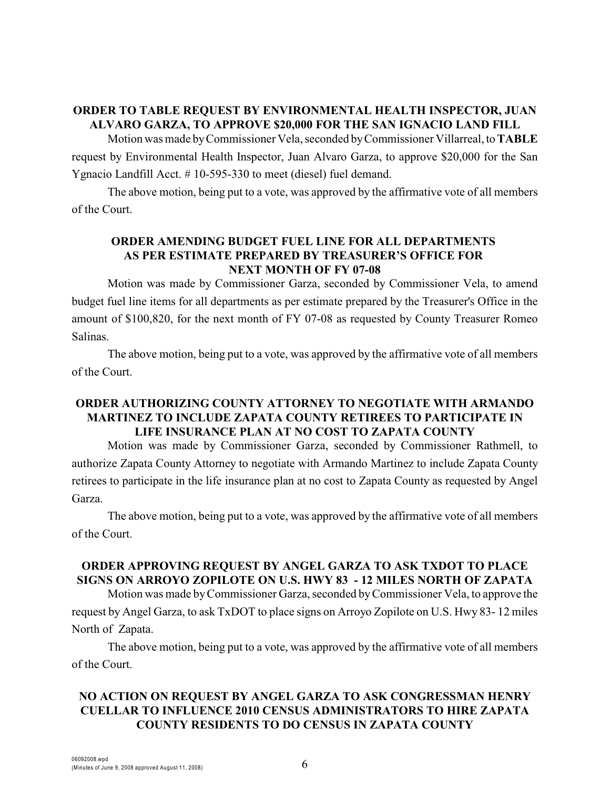# **ORDER TO TABLE REQUEST BY ENVIRONMENTAL HEALTH INSPECTOR, JUAN ALVARO GARZA, TO APPROVE \$20,000 FOR THE SAN IGNACIO LAND FILL**

Motion was made by Commissioner Vela, seconded by Commissioner Villarreal, to **TABLE** request by Environmental Health Inspector, Juan Alvaro Garza, to approve \$20,000 for the San Ygnacio Landfill Acct. # 10-595-330 to meet (diesel) fuel demand.

The above motion, being put to a vote, was approved by the affirmative vote of all members of the Court.

# **ORDER AMENDING BUDGET FUEL LINE FOR ALL DEPARTMENTS AS PER ESTIMATE PREPARED BY TREASURER'S OFFICE FOR NEXT MONTH OF FY 07-08**

Motion was made by Commissioner Garza, seconded by Commissioner Vela, to amend budget fuel line items for all departments as per estimate prepared by the Treasurer's Office in the amount of \$100,820, for the next month of FY 07-08 as requested by County Treasurer Romeo Salinas.

The above motion, being put to a vote, was approved by the affirmative vote of all members of the Court.

# **ORDER AUTHORIZING COUNTY ATTORNEY TO NEGOTIATE WITH ARMANDO MARTINEZ TO INCLUDE ZAPATA COUNTY RETIREES TO PARTICIPATE IN LIFE INSURANCE PLAN AT NO COST TO ZAPATA COUNTY**

Motion was made by Commissioner Garza, seconded by Commissioner Rathmell, to authorize Zapata County Attorney to negotiate with Armando Martinez to include Zapata County retirees to participate in the life insurance plan at no cost to Zapata County as requested by Angel Garza.

The above motion, being put to a vote, was approved by the affirmative vote of all members of the Court.

## **ORDER APPROVING REQUEST BY ANGEL GARZA TO ASK TXDOT TO PLACE SIGNS ON ARROYO ZOPILOTE ON U.S. HWY 83 - 12 MILES NORTH OF ZAPATA**

Motion was made by Commissioner Garza, seconded by Commissioner Vela, to approve the request by Angel Garza, to ask TxDOT to place signs on Arroyo Zopilote on U.S. Hwy 83- 12 miles North of Zapata.

The above motion, being put to a vote, was approved by the affirmative vote of all members of the Court.

# **NO ACTION ON REQUEST BY ANGEL GARZA TO ASK CONGRESSMAN HENRY CUELLAR TO INFLUENCE 2010 CENSUS ADMINISTRATORS TO HIRE ZAPATA COUNTY RESIDENTS TO DO CENSUS IN ZAPATA COUNTY**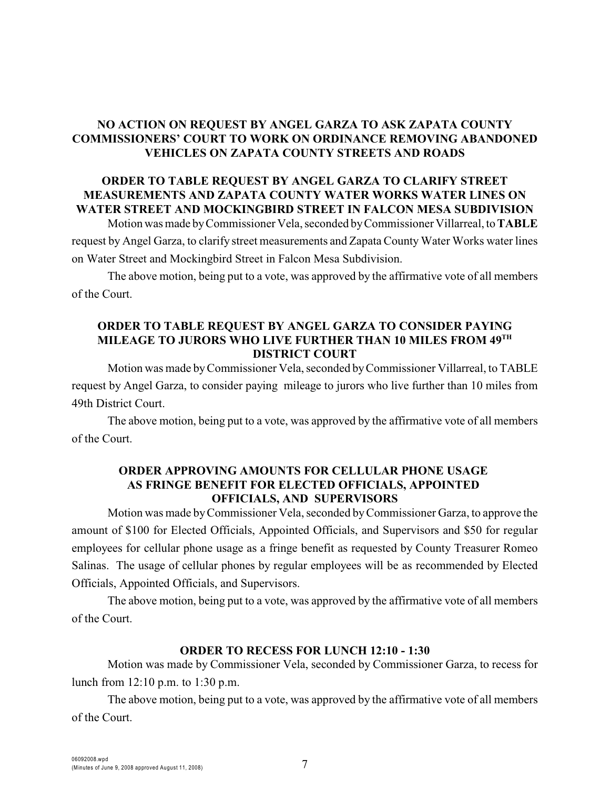# **NO ACTION ON REQUEST BY ANGEL GARZA TO ASK ZAPATA COUNTY COMMISSIONERS' COURT TO WORK ON ORDINANCE REMOVING ABANDONED VEHICLES ON ZAPATA COUNTY STREETS AND ROADS**

## **ORDER TO TABLE REQUEST BY ANGEL GARZA TO CLARIFY STREET MEASUREMENTS AND ZAPATA COUNTY WATER WORKS WATER LINES ON WATER STREET AND MOCKINGBIRD STREET IN FALCON MESA SUBDIVISION**

Motion was made by Commissioner Vela, seconded by Commissioner Villarreal, to **TABLE** request by Angel Garza, to clarify street measurements and Zapata County Water Works water lines on Water Street and Mockingbird Street in Falcon Mesa Subdivision.

The above motion, being put to a vote, was approved by the affirmative vote of all members of the Court.

#### **ORDER TO TABLE REQUEST BY ANGEL GARZA TO CONSIDER PAYING MILEAGE TO JURORS WHO LIVE FURTHER THAN 10 MILES FROM 49TH DISTRICT COURT**

Motion was made by Commissioner Vela, seconded by Commissioner Villarreal, to TABLE request by Angel Garza, to consider paying mileage to jurors who live further than 10 miles from 49th District Court.

The above motion, being put to a vote, was approved by the affirmative vote of all members of the Court.

#### **ORDER APPROVING AMOUNTS FOR CELLULAR PHONE USAGE AS FRINGE BENEFIT FOR ELECTED OFFICIALS, APPOINTED OFFICIALS, AND SUPERVISORS**

Motion was made by Commissioner Vela, seconded by Commissioner Garza, to approve the amount of \$100 for Elected Officials, Appointed Officials, and Supervisors and \$50 for regular employees for cellular phone usage as a fringe benefit as requested by County Treasurer Romeo Salinas. The usage of cellular phones by regular employees will be as recommended by Elected Officials, Appointed Officials, and Supervisors.

The above motion, being put to a vote, was approved by the affirmative vote of all members of the Court.

## **ORDER TO RECESS FOR LUNCH 12:10 - 1:30**

Motion was made by Commissioner Vela, seconded by Commissioner Garza, to recess for lunch from 12:10 p.m. to 1:30 p.m.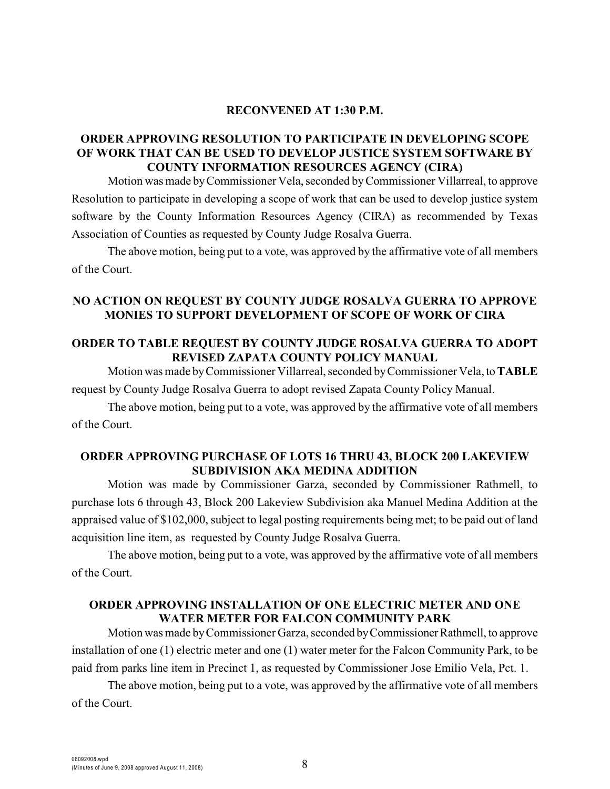#### **RECONVENED AT 1:30 P.M.**

### **ORDER APPROVING RESOLUTION TO PARTICIPATE IN DEVELOPING SCOPE OF WORK THAT CAN BE USED TO DEVELOP JUSTICE SYSTEM SOFTWARE BY COUNTY INFORMATION RESOURCES AGENCY (CIRA)**

Motion was made byCommissioner Vela, seconded by Commissioner Villarreal, to approve Resolution to participate in developing a scope of work that can be used to develop justice system software by the County Information Resources Agency (CIRA) as recommended by Texas Association of Counties as requested by County Judge Rosalva Guerra.

The above motion, being put to a vote, was approved by the affirmative vote of all members of the Court.

## **NO ACTION ON REQUEST BY COUNTY JUDGE ROSALVA GUERRA TO APPROVE MONIES TO SUPPORT DEVELOPMENT OF SCOPE OF WORK OF CIRA**

### **ORDER TO TABLE REQUEST BY COUNTY JUDGE ROSALVA GUERRA TO ADOPT REVISED ZAPATA COUNTY POLICY MANUAL**

Motion was made by Commissioner Villarreal, seconded by Commissioner Vela, to **TABLE** request by County Judge Rosalva Guerra to adopt revised Zapata County Policy Manual.

The above motion, being put to a vote, was approved by the affirmative vote of all members of the Court.

## **ORDER APPROVING PURCHASE OF LOTS 16 THRU 43, BLOCK 200 LAKEVIEW SUBDIVISION AKA MEDINA ADDITION**

Motion was made by Commissioner Garza, seconded by Commissioner Rathmell, to purchase lots 6 through 43, Block 200 Lakeview Subdivision aka Manuel Medina Addition at the appraised value of \$102,000, subject to legal posting requirements being met; to be paid out of land acquisition line item, as requested by County Judge Rosalva Guerra.

The above motion, being put to a vote, was approved by the affirmative vote of all members of the Court.

#### **ORDER APPROVING INSTALLATION OF ONE ELECTRIC METER AND ONE WATER METER FOR FALCON COMMUNITY PARK**

Motion was made by Commissioner Garza, seconded by Commissioner Rathmell, to approve installation of one (1) electric meter and one (1) water meter for the Falcon Community Park, to be paid from parks line item in Precinct 1, as requested by Commissioner Jose Emilio Vela, Pct. 1.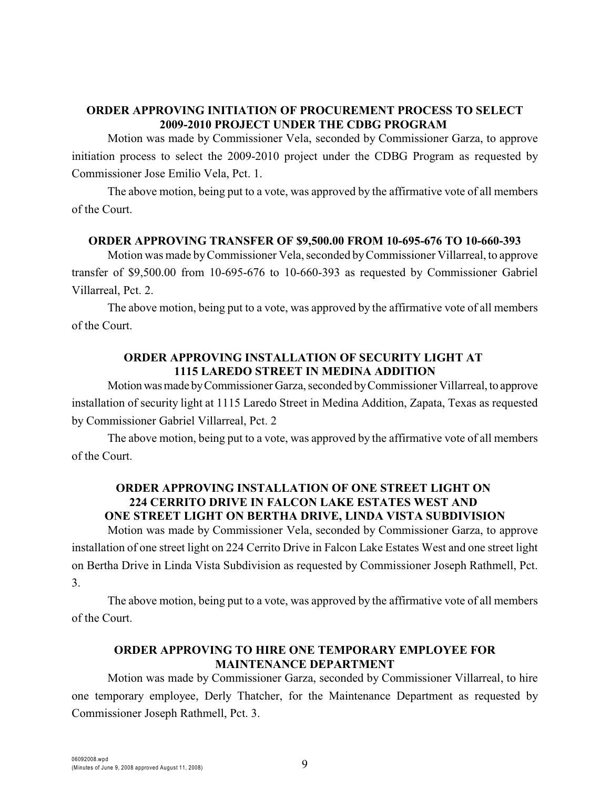# **ORDER APPROVING INITIATION OF PROCUREMENT PROCESS TO SELECT 2009-2010 PROJECT UNDER THE CDBG PROGRAM**

Motion was made by Commissioner Vela, seconded by Commissioner Garza, to approve initiation process to select the 2009-2010 project under the CDBG Program as requested by Commissioner Jose Emilio Vela, Pct. 1.

The above motion, being put to a vote, was approved by the affirmative vote of all members of the Court.

## **ORDER APPROVING TRANSFER OF \$9,500.00 FROM 10-695-676 TO 10-660-393**

Motion was made by Commissioner Vela, seconded byCommissioner Villarreal, to approve transfer of \$9,500.00 from 10-695-676 to 10-660-393 as requested by Commissioner Gabriel Villarreal, Pct. 2.

The above motion, being put to a vote, was approved by the affirmative vote of all members of the Court.

## **ORDER APPROVING INSTALLATION OF SECURITY LIGHT AT 1115 LAREDO STREET IN MEDINA ADDITION**

Motion was made by Commissioner Garza, seconded by Commissioner Villarreal, to approve installation of security light at 1115 Laredo Street in Medina Addition, Zapata, Texas as requested by Commissioner Gabriel Villarreal, Pct. 2

The above motion, being put to a vote, was approved by the affirmative vote of all members of the Court.

## **ORDER APPROVING INSTALLATION OF ONE STREET LIGHT ON 224 CERRITO DRIVE IN FALCON LAKE ESTATES WEST AND ONE STREET LIGHT ON BERTHA DRIVE, LINDA VISTA SUBDIVISION**

Motion was made by Commissioner Vela, seconded by Commissioner Garza, to approve installation of one street light on 224 Cerrito Drive in Falcon Lake Estates West and one street light on Bertha Drive in Linda Vista Subdivision as requested by Commissioner Joseph Rathmell, Pct. 3.

The above motion, being put to a vote, was approved by the affirmative vote of all members of the Court.

## **ORDER APPROVING TO HIRE ONE TEMPORARY EMPLOYEE FOR MAINTENANCE DEPARTMENT**

Motion was made by Commissioner Garza, seconded by Commissioner Villarreal, to hire one temporary employee, Derly Thatcher, for the Maintenance Department as requested by Commissioner Joseph Rathmell, Pct. 3.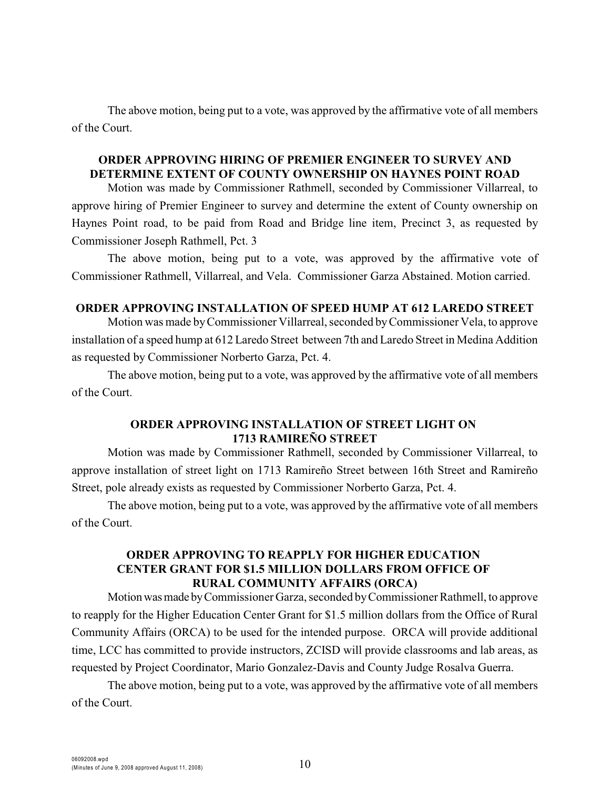The above motion, being put to a vote, was approved by the affirmative vote of all members of the Court.

#### **ORDER APPROVING HIRING OF PREMIER ENGINEER TO SURVEY AND DETERMINE EXTENT OF COUNTY OWNERSHIP ON HAYNES POINT ROAD**

Motion was made by Commissioner Rathmell, seconded by Commissioner Villarreal, to approve hiring of Premier Engineer to survey and determine the extent of County ownership on Haynes Point road, to be paid from Road and Bridge line item, Precinct 3, as requested by Commissioner Joseph Rathmell, Pct. 3

The above motion, being put to a vote, was approved by the affirmative vote of Commissioner Rathmell, Villarreal, and Vela. Commissioner Garza Abstained. Motion carried.

#### **ORDER APPROVING INSTALLATION OF SPEED HUMP AT 612 LAREDO STREET**

Motion was made by Commissioner Villarreal, seconded byCommissioner Vela, to approve installation of a speed hump at 612 Laredo Street between 7th and Laredo Street in Medina Addition as requested by Commissioner Norberto Garza, Pct. 4.

The above motion, being put to a vote, was approved by the affirmative vote of all members of the Court.

#### **ORDER APPROVING INSTALLATION OF STREET LIGHT ON 1713 RAMIREÑO STREET**

Motion was made by Commissioner Rathmell, seconded by Commissioner Villarreal, to approve installation of street light on 1713 Ramireño Street between 16th Street and Ramireño Street, pole already exists as requested by Commissioner Norberto Garza, Pct. 4.

The above motion, being put to a vote, was approved by the affirmative vote of all members of the Court.

#### **ORDER APPROVING TO REAPPLY FOR HIGHER EDUCATION CENTER GRANT FOR \$1.5 MILLION DOLLARS FROM OFFICE OF RURAL COMMUNITY AFFAIRS (ORCA)**

Motion was made by Commissioner Garza, seconded by Commissioner Rathmell, to approve to reapply for the Higher Education Center Grant for \$1.5 million dollars from the Office of Rural Community Affairs (ORCA) to be used for the intended purpose. ORCA will provide additional time, LCC has committed to provide instructors, ZCISD will provide classrooms and lab areas, as requested by Project Coordinator, Mario Gonzalez-Davis and County Judge Rosalva Guerra.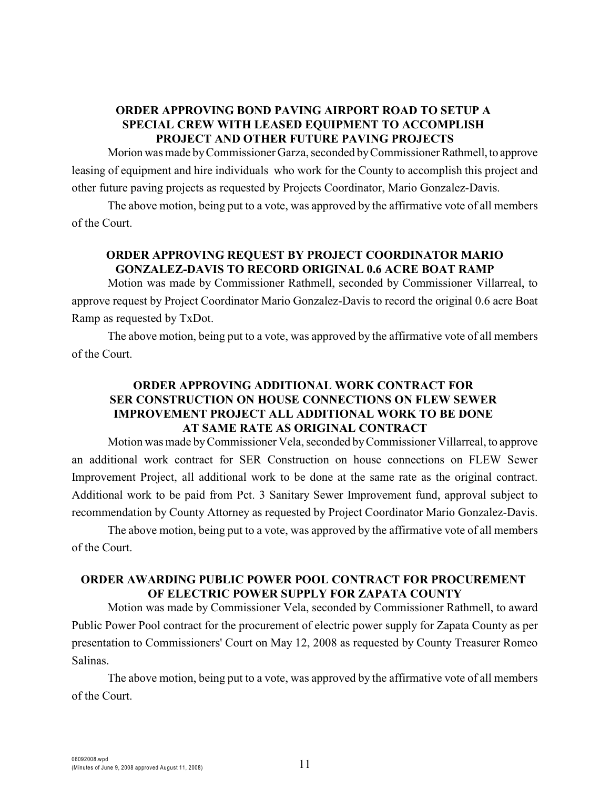# **ORDER APPROVING BOND PAVING AIRPORT ROAD TO SETUP A SPECIAL CREW WITH LEASED EQUIPMENT TO ACCOMPLISH PROJECT AND OTHER FUTURE PAVING PROJECTS**

Morion was made by Commissioner Garza, seconded by Commissioner Rathmell, to approve leasing of equipment and hire individuals who work for the County to accomplish this project and other future paving projects as requested by Projects Coordinator, Mario Gonzalez-Davis.

The above motion, being put to a vote, was approved by the affirmative vote of all members of the Court.

# **ORDER APPROVING REQUEST BY PROJECT COORDINATOR MARIO GONZALEZ-DAVIS TO RECORD ORIGINAL 0.6 ACRE BOAT RAMP**

Motion was made by Commissioner Rathmell, seconded by Commissioner Villarreal, to approve request by Project Coordinator Mario Gonzalez-Davis to record the original 0.6 acre Boat Ramp as requested by TxDot.

The above motion, being put to a vote, was approved by the affirmative vote of all members of the Court.

# **ORDER APPROVING ADDITIONAL WORK CONTRACT FOR SER CONSTRUCTION ON HOUSE CONNECTIONS ON FLEW SEWER IMPROVEMENT PROJECT ALL ADDITIONAL WORK TO BE DONE AT SAME RATE AS ORIGINAL CONTRACT**

Motion was made byCommissioner Vela, seconded by Commissioner Villarreal, to approve an additional work contract for SER Construction on house connections on FLEW Sewer Improvement Project, all additional work to be done at the same rate as the original contract. Additional work to be paid from Pct. 3 Sanitary Sewer Improvement fund, approval subject to recommendation by County Attorney as requested by Project Coordinator Mario Gonzalez-Davis.

The above motion, being put to a vote, was approved by the affirmative vote of all members of the Court.

# **ORDER AWARDING PUBLIC POWER POOL CONTRACT FOR PROCUREMENT OF ELECTRIC POWER SUPPLY FOR ZAPATA COUNTY**

Motion was made by Commissioner Vela, seconded by Commissioner Rathmell, to award Public Power Pool contract for the procurement of electric power supply for Zapata County as per presentation to Commissioners' Court on May 12, 2008 as requested by County Treasurer Romeo Salinas.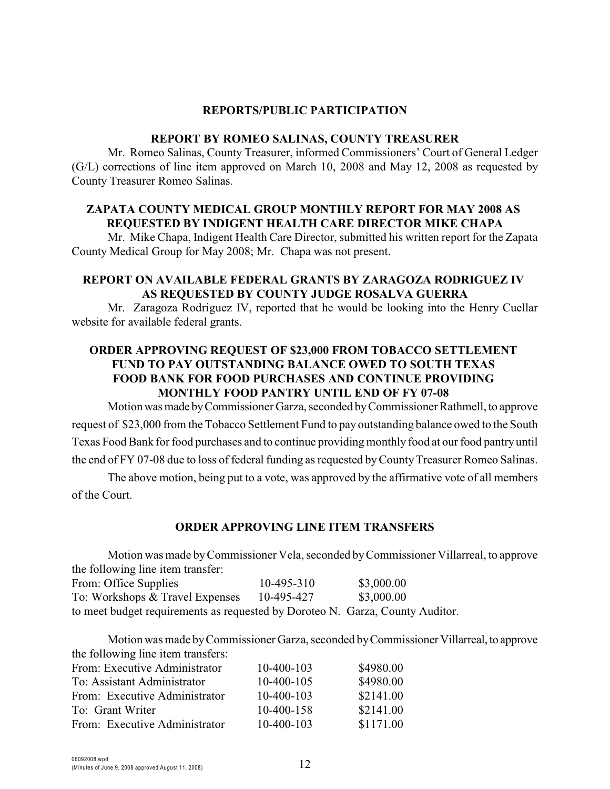#### **REPORTS/PUBLIC PARTICIPATION**

#### **REPORT BY ROMEO SALINAS, COUNTY TREASURER**

Mr. Romeo Salinas, County Treasurer, informed Commissioners' Court of General Ledger (G/L) corrections of line item approved on March 10, 2008 and May 12, 2008 as requested by County Treasurer Romeo Salinas.

## **ZAPATA COUNTY MEDICAL GROUP MONTHLY REPORT FOR MAY 2008 AS REQUESTED BY INDIGENT HEALTH CARE DIRECTOR MIKE CHAPA**

Mr. Mike Chapa, Indigent Health Care Director, submitted his written report for the Zapata County Medical Group for May 2008; Mr. Chapa was not present.

#### **REPORT ON AVAILABLE FEDERAL GRANTS BY ZARAGOZA RODRIGUEZ IV AS REQUESTED BY COUNTY JUDGE ROSALVA GUERRA**

Mr. Zaragoza Rodriguez IV, reported that he would be looking into the Henry Cuellar website for available federal grants.

# **ORDER APPROVING REQUEST OF \$23,000 FROM TOBACCO SETTLEMENT FUND TO PAY OUTSTANDING BALANCE OWED TO SOUTH TEXAS FOOD BANK FOR FOOD PURCHASES AND CONTINUE PROVIDING MONTHLY FOOD PANTRY UNTIL END OF FY 07-08**

Motion was made by Commissioner Garza, seconded by Commissioner Rathmell, to approve request of \$23,000 from the Tobacco Settlement Fund to pay outstanding balance owed to the South Texas Food Bank for food purchases and to continue providing monthly food at our food pantry until the end of FY 07-08 due to loss of federal funding as requested by County Treasurer Romeo Salinas.

The above motion, being put to a vote, was approved by the affirmative vote of all members of the Court.

## **ORDER APPROVING LINE ITEM TRANSFERS**

Motion was made byCommissioner Vela, seconded by Commissioner Villarreal, to approve the following line item transfer: From: Office Supplies 10-495-310 \$3,000.00 To: Workshops & Travel Expenses 10-495-427 \$3,000.00 to meet budget requirements as requested by Doroteo N. Garza, County Auditor.

Motion was made by Commissioner Garza, seconded by Commissioner Villarreal, to approve the following line item transfers:

| From: Executive Administrator | 10-400-103   | \$4980.00 |
|-------------------------------|--------------|-----------|
| To: Assistant Administrator   | $10-400-105$ | \$4980.00 |
| From: Executive Administrator | $10-400-103$ | \$2141.00 |
| To: Grant Writer              | 10-400-158   | \$2141.00 |
| From: Executive Administrator | $10-400-103$ | \$1171.00 |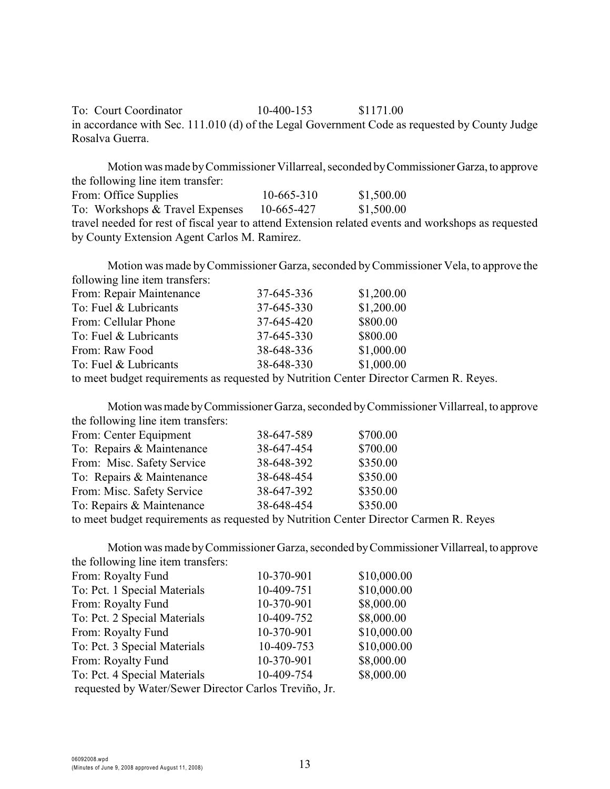To: Court Coordinator 10-400-153 \$1171.00 in accordance with Sec. 111.010 (d) of the Legal Government Code as requested by County Judge Rosalva Guerra.

Motion was made by Commissioner Villarreal, seconded by Commissioner Garza, to approve the following line item transfer: From: Office Supplies 10-665-310 \$1,500.00 To: Workshops & Travel Expenses 10-665-427 \$1,500.00 travel needed for rest of fiscal year to attend Extension related events and workshops as requested by County Extension Agent Carlos M. Ramirez.

Motion was made by Commissioner Garza, seconded by Commissioner Vela, to approve the following line item transfers: From: Repair Maintenance  $37-645-336$  \$1,200.00 To: Fuel & Lubricants 37-645-330 \$1,200.00 From: Cellular Phone 37-645-420 \$800.00 To: Fuel & Lubricants 37-645-330 \$800.00 From: Raw Food 38-648-336 \$1,000.00 To: Fuel & Lubricants 38-648-330 \$1,000.00

to meet budget requirements as requested by Nutrition Center Director Carmen R. Reyes.

Motion was made by Commissioner Garza, seconded by Commissioner Villarreal, to approve the following line item transfers:

| From: Center Equipment                                                | 38-647-589 | \$700.00 |
|-----------------------------------------------------------------------|------------|----------|
| To: Repairs & Maintenance                                             | 38-647-454 | \$700.00 |
| From: Misc. Safety Service                                            | 38-648-392 | \$350.00 |
| To: Repairs & Maintenance                                             | 38-648-454 | \$350.00 |
| From: Misc. Safety Service                                            | 38-647-392 | \$350.00 |
| To: Repairs & Maintenance                                             | 38-648-454 | \$350.00 |
| to most hudget requirements as requested by Nutrition Contar Director |            |          |

to meet budget requirements as requested by Nutrition Center Director Carmen R. Reyes

Motion was made by Commissioner Garza, seconded by Commissioner Villarreal, to approve the following line item transfers:

| $\frac{1}{2}$                                         |            |             |
|-------------------------------------------------------|------------|-------------|
| From: Royalty Fund                                    | 10-370-901 | \$10,000.00 |
| To: Pct. 1 Special Materials                          | 10-409-751 | \$10,000.00 |
| From: Royalty Fund                                    | 10-370-901 | \$8,000.00  |
| To: Pct. 2 Special Materials                          | 10-409-752 | \$8,000.00  |
| From: Royalty Fund                                    | 10-370-901 | \$10,000.00 |
| To: Pct. 3 Special Materials                          | 10-409-753 | \$10,000.00 |
| From: Royalty Fund                                    | 10-370-901 | \$8,000.00  |
| To: Pct. 4 Special Materials                          | 10-409-754 | \$8,000.00  |
| requested by Water/Sewer Director Carlos Treviño, Jr. |            |             |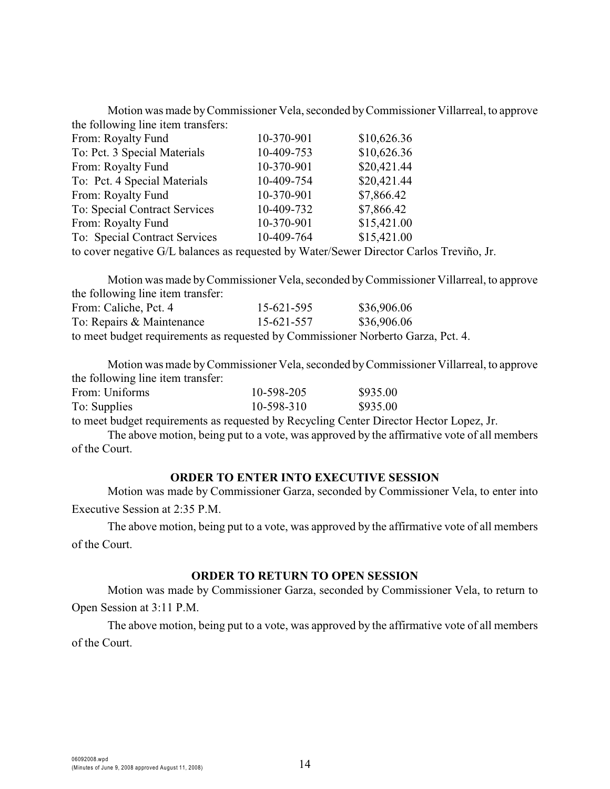Motion was made by Commissioner Vela, seconded byCommissioner Villarreal, to approve the following line item transfers:

| From: Royalty Fund            | 10-370-901              | \$10,626.36           |
|-------------------------------|-------------------------|-----------------------|
| To: Pct. 3 Special Materials  | 10-409-753              | \$10,626.36           |
| From: Royalty Fund            | 10-370-901              | \$20,421.44           |
| To: Pct. 4 Special Materials  | 10-409-754              | \$20,421.44           |
| From: Royalty Fund            | 10-370-901              | \$7,866.42            |
| To: Special Contract Services | 10-409-732              | \$7,866.42            |
| From: Royalty Fund            | 10-370-901              | \$15,421.00           |
| To: Special Contract Services | 10-409-764              | \$15,421.00           |
|                               | $\sqrt{11}$ $\sqrt{11}$ | $\mathbf{r}$ $\alpha$ |

to cover negative G/L balances as requested by Water/Sewer Director Carlos Treviño, Jr.

Motion was made byCommissioner Vela, seconded by Commissioner Villarreal, to approve the following line item transfer: From: Caliche, Pct. 4 15-621-595 \$36,906.06 To: Repairs & Maintenance 15-621-557 \$36,906.06 to meet budget requirements as requested by Commissioner Norberto Garza, Pct. 4.

Motion was made byCommissioner Vela, seconded by Commissioner Villarreal, to approve the following line item transfer:

| From: Uniforms | 10-598-205 | \$935.00 |
|----------------|------------|----------|
| To: Supplies   | 10-598-310 | \$935.00 |
|                |            |          |

to meet budget requirements as requested by Recycling Center Director Hector Lopez, Jr.

The above motion, being put to a vote, was approved by the affirmative vote of all members of the Court.

#### **ORDER TO ENTER INTO EXECUTIVE SESSION**

Motion was made by Commissioner Garza, seconded by Commissioner Vela, to enter into Executive Session at 2:35 P.M.

The above motion, being put to a vote, was approved by the affirmative vote of all members of the Court.

#### **ORDER TO RETURN TO OPEN SESSION**

Motion was made by Commissioner Garza, seconded by Commissioner Vela, to return to Open Session at 3:11 P.M.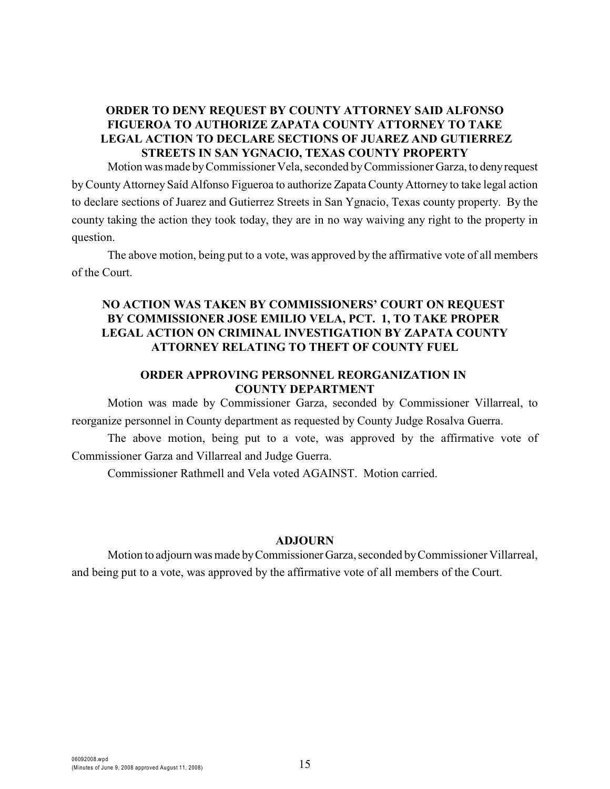## **ORDER TO DENY REQUEST BY COUNTY ATTORNEY SAID ALFONSO FIGUEROA TO AUTHORIZE ZAPATA COUNTY ATTORNEY TO TAKE LEGAL ACTION TO DECLARE SECTIONS OF JUAREZ AND GUTIERREZ STREETS IN SAN YGNACIO, TEXAS COUNTY PROPERTY**

Motion was made by Commissioner Vela, seconded by Commissioner Garza, to deny request by County Attorney Saíd Alfonso Figueroa to authorize Zapata County Attorney to take legal action to declare sections of Juarez and Gutierrez Streets in San Ygnacio, Texas county property. By the county taking the action they took today, they are in no way waiving any right to the property in question.

The above motion, being put to a vote, was approved by the affirmative vote of all members of the Court.

# **NO ACTION WAS TAKEN BY COMMISSIONERS' COURT ON REQUEST BY COMMISSIONER JOSE EMILIO VELA, PCT. 1, TO TAKE PROPER LEGAL ACTION ON CRIMINAL INVESTIGATION BY ZAPATA COUNTY ATTORNEY RELATING TO THEFT OF COUNTY FUEL**

# **ORDER APPROVING PERSONNEL REORGANIZATION IN COUNTY DEPARTMENT**

Motion was made by Commissioner Garza, seconded by Commissioner Villarreal, to reorganize personnel in County department as requested by County Judge Rosalva Guerra.

The above motion, being put to a vote, was approved by the affirmative vote of Commissioner Garza and Villarreal and Judge Guerra.

Commissioner Rathmell and Vela voted AGAINST. Motion carried.

#### **ADJOURN**

Motion to adjourn was made by Commissioner Garza, seconded by Commissioner Villarreal, and being put to a vote, was approved by the affirmative vote of all members of the Court.